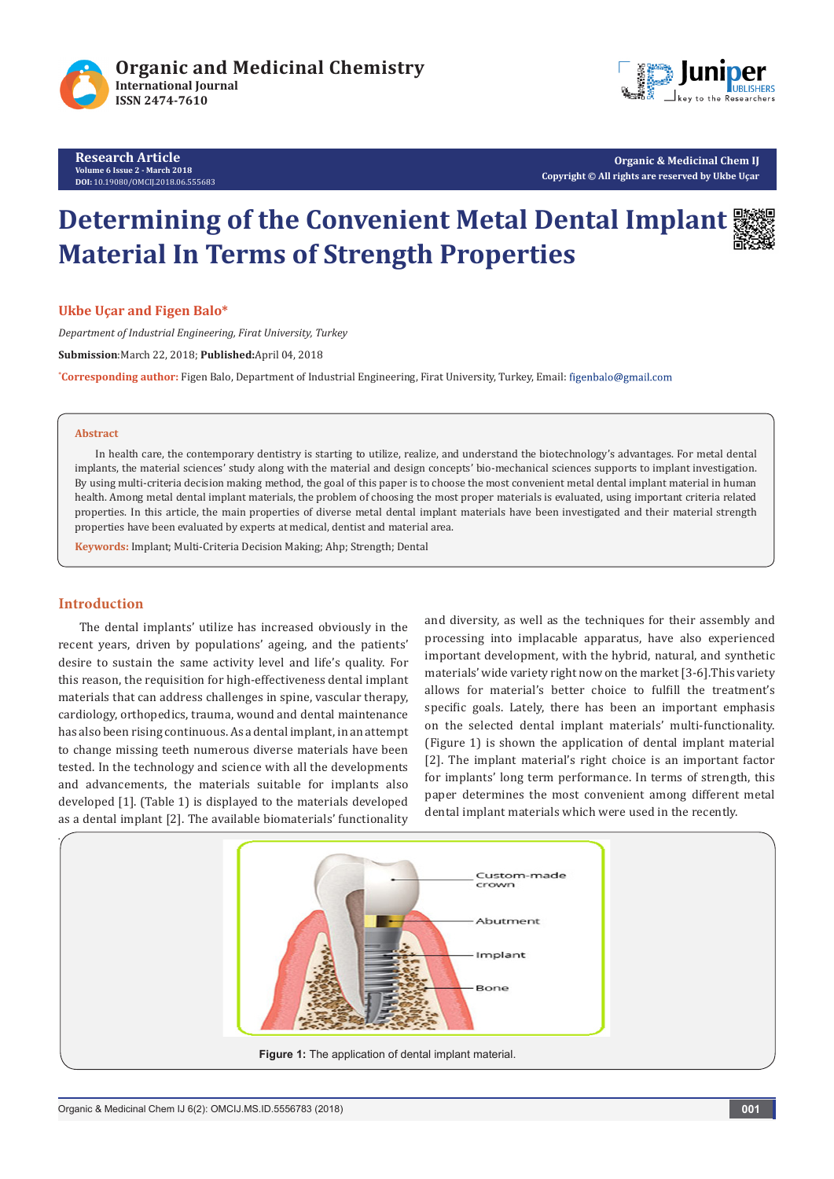

**Research Article Volume 6 Issue 2 - March 2018 DOI:** [10.19080/OMCIJ.2018.06.555683](http://dx.doi.org/10.19080/OMCIJ.2018.06.555683)



**Organic & Medicinal Chem IJ Copyright © All rights are reserved by Ukbe Uçar** 

# **Determining of the Convenient Metal Dental Implant Material In Terms of Strength Properties**

**Ukbe Uçar and Figen Balo\***

*Department of Industrial Engineering, Firat University, Turkey*

**Submission**:March 22, 2018; **Published:**April 04, 2018

**\* Corresponding author:** Figen Balo, Department of Industrial Engineering, Firat University, Turkey, Email:

### **Abstract**

In health care, the contemporary dentistry is starting to utilize, realize, and understand the biotechnology's advantages. For metal dental implants, the material sciences' study along with the material and design concepts' bio-mechanical sciences supports to implant investigation. By using multi-criteria decision making method, the goal of this paper is to choose the most convenient metal dental implant material in human health. Among metal dental implant materials, the problem of choosing the most proper materials is evaluated, using important criteria related properties. In this article, the main properties of diverse metal dental implant materials have been investigated and their material strength properties have been evaluated by experts at medical, dentist and material area.

**Keywords:** Implant; Multi-Criteria Decision Making; Ahp; Strength; Dental

# **Introduction**

The dental implants' utilize has increased obviously in the recent years, driven by populations' ageing, and the patients' desire to sustain the same activity level and life's quality. For this reason, the requisition for high-effectiveness dental implant materials that can address challenges in spine, vascular therapy, cardiology, orthopedics, trauma, wound and dental maintenance has also been rising continuous. As a dental implant, in an attempt to change missing teeth numerous diverse materials have been tested. In the technology and science with all the developments and advancements, the materials suitable for implants also developed [1]. (Table 1) is displayed to the materials developed as a dental implant [2]. The available biomaterials' functionality

and diversity, as well as the techniques for their assembly and processing into implacable apparatus, have also experienced important development, with the hybrid, natural, and synthetic materials' wide variety right now on the market [3-6].This variety allows for material's better choice to fulfill the treatment's specific goals. Lately, there has been an important emphasis on the selected dental implant materials' multi-functionality. (Figure 1) is shown the application of dental implant material [2]. The implant material's right choice is an important factor for implants' long term performance. In terms of strength, this paper determines the most convenient among different metal dental implant materials which were used in the recently.

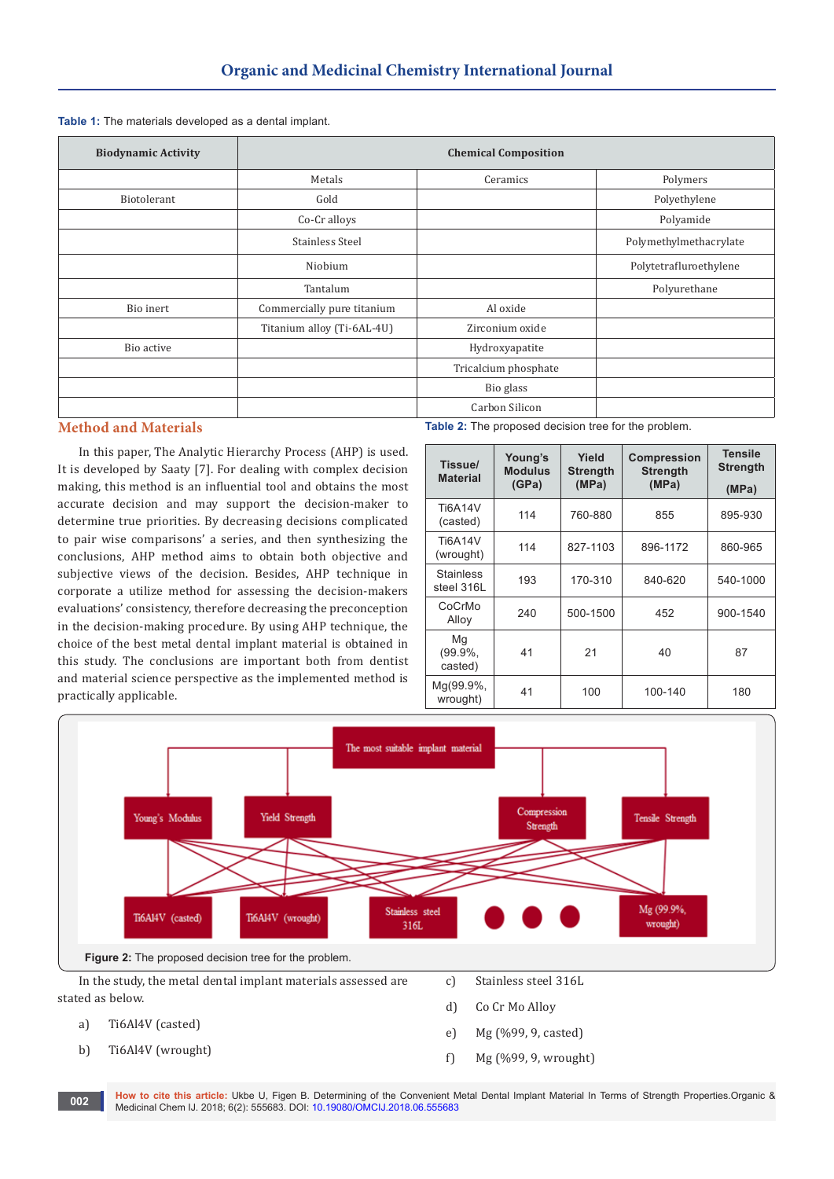| <b>Biodynamic Activity</b> | <b>Chemical Composition</b> |                      |                        |
|----------------------------|-----------------------------|----------------------|------------------------|
|                            | Metals                      | Ceramics             | Polymers               |
| Biotolerant                | Gold                        |                      | Polyethylene           |
|                            | Co-Cr alloys                |                      | Polyamide              |
|                            | Stainless Steel             |                      | Polymethylmethacrylate |
|                            | Niobium                     |                      | Polytetrafluroethylene |
|                            | Tantalum                    |                      | Polyurethane           |
| Bio inert                  | Commercially pure titanium  | Al oxide             |                        |
|                            | Titanium alloy (Ti-6AL-4U)  | Zirconium oxide      |                        |
| Bio active                 |                             | Hydroxyapatite       |                        |
|                            |                             | Tricalcium phosphate |                        |
|                            |                             | Bio glass            |                        |
|                            |                             | Carbon Silicon       |                        |

# **Method and Materials**

In this paper, The Analytic Hierarchy Process (AHP) is used. It is developed by Saaty [7]. For dealing with complex decision making, this method is an influential tool and obtains the most accurate decision and may support the decision-maker to determine true priorities. By decreasing decisions complicated to pair wise comparisons' a series, and then synthesizing the conclusions, AHP method aims to obtain both objective and subjective views of the decision. Besides, AHP technique in corporate a utilize method for assessing the decision-makers evaluations' consistency, therefore decreasing the preconception in the decision-making procedure. By using AHP technique, the choice of the best metal dental implant material is obtained in this study. The conclusions are important both from dentist and material science perspective as the implemented method is practically applicable.

**Table 2:** The proposed decision tree for the problem.

| Tissue/<br><b>Material</b>     | Young's<br><b>Modulus</b><br>(GPa) | Yield<br><b>Strength</b><br>(MPa) | <b>Compression</b><br><b>Strength</b><br>(MPa) | <b>Tensile</b><br><b>Strength</b><br>(MPa) |
|--------------------------------|------------------------------------|-----------------------------------|------------------------------------------------|--------------------------------------------|
| <b>Ti6A14V</b><br>(casted)     | 114                                | 760-880                           | 855                                            | 895-930                                    |
| <b>Ti6A14V</b><br>(wrought)    | 114                                | 827-1103                          | 896-1172                                       | 860-965                                    |
| <b>Stainless</b><br>steel 316L | 193                                | 170-310                           | 840-620                                        | 540-1000                                   |
| CoCrMo<br>Alloy                | 240                                | 500-1500                          | 452                                            | 900-1540                                   |
| Mg<br>$(99.9\%$<br>casted)     | 41                                 | 21                                | 40                                             | 87                                         |
| Mg(99.9%,<br>wrought)          | 41                                 | 100                               | 100-140                                        | 180                                        |



**How to cite this article:** Ukbe U, Figen B. Determining of the Convenient Metal Dental Implant Material In Terms of Strength Properties.Organic & **Mow to cite this article:** UKbe U, Figen B. Determining of the Convenient M<br>Medicinal Chem IJ. 2018; 6(2): 555683. DOI: [10.19080/OMCIJ.2018.06.555683](http://dx.doi.org/10.19080/OMCIJ.2018.06.555683)